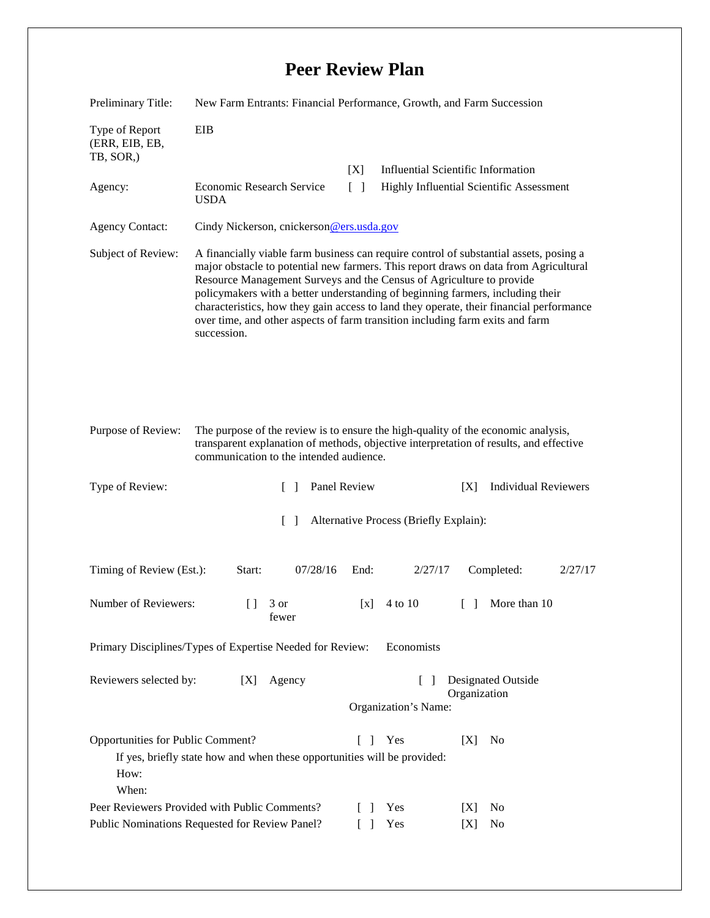## **Peer Review Plan**

| Preliminary Title:                                                                                                                                                                                                                           | New Farm Entrants: Financial Performance, Growth, and Farm Succession                                                                                                                                                                                                                                                                                                                                                                                                                                                               |                                                              |                                           |        |                |         |  |
|----------------------------------------------------------------------------------------------------------------------------------------------------------------------------------------------------------------------------------------------|-------------------------------------------------------------------------------------------------------------------------------------------------------------------------------------------------------------------------------------------------------------------------------------------------------------------------------------------------------------------------------------------------------------------------------------------------------------------------------------------------------------------------------------|--------------------------------------------------------------|-------------------------------------------|--------|----------------|---------|--|
| Type of Report<br>(ERR, EIB, EB,<br>TB, SOR,)                                                                                                                                                                                                | EIB                                                                                                                                                                                                                                                                                                                                                                                                                                                                                                                                 |                                                              |                                           |        |                |         |  |
|                                                                                                                                                                                                                                              |                                                                                                                                                                                                                                                                                                                                                                                                                                                                                                                                     | [X]                                                          | <b>Influential Scientific Information</b> |        |                |         |  |
| Agency:                                                                                                                                                                                                                                      | Economic Research Service<br><b>USDA</b>                                                                                                                                                                                                                                                                                                                                                                                                                                                                                            | $\lceil \rceil$                                              | Highly Influential Scientific Assessment  |        |                |         |  |
| <b>Agency Contact:</b>                                                                                                                                                                                                                       | Cindy Nickerson, cnickerson@ers.usda.gov                                                                                                                                                                                                                                                                                                                                                                                                                                                                                            |                                                              |                                           |        |                |         |  |
| Subject of Review:                                                                                                                                                                                                                           | A financially viable farm business can require control of substantial assets, posing a<br>major obstacle to potential new farmers. This report draws on data from Agricultural<br>Resource Management Surveys and the Census of Agriculture to provide<br>policymakers with a better understanding of beginning farmers, including their<br>characteristics, how they gain access to land they operate, their financial performance<br>over time, and other aspects of farm transition including farm exits and farm<br>succession. |                                                              |                                           |        |                |         |  |
| The purpose of the review is to ensure the high-quality of the economic analysis,<br>Purpose of Review:<br>transparent explanation of methods, objective interpretation of results, and effective<br>communication to the intended audience. |                                                                                                                                                                                                                                                                                                                                                                                                                                                                                                                                     |                                                              |                                           |        |                |         |  |
| Type of Review:                                                                                                                                                                                                                              | Panel Review<br><b>Individual Reviewers</b><br>[X]<br>$\Box$                                                                                                                                                                                                                                                                                                                                                                                                                                                                        |                                                              |                                           |        |                |         |  |
| $\lceil \; \rceil$<br>Alternative Process (Briefly Explain):                                                                                                                                                                                 |                                                                                                                                                                                                                                                                                                                                                                                                                                                                                                                                     |                                                              |                                           |        |                |         |  |
| Timing of Review (Est.):                                                                                                                                                                                                                     | 07/28/16<br>Start:                                                                                                                                                                                                                                                                                                                                                                                                                                                                                                                  | End:                                                         | 2/27/17                                   |        | Completed:     | 2/27/17 |  |
| Number of Reviewers:                                                                                                                                                                                                                         | $\Box$<br>3 or<br>fewer                                                                                                                                                                                                                                                                                                                                                                                                                                                                                                             | $\begin{bmatrix} x \end{bmatrix}$                            | 4 to 10                                   | $\Box$ | More than 10   |         |  |
| Economists<br>Primary Disciplines/Types of Expertise Needed for Review:                                                                                                                                                                      |                                                                                                                                                                                                                                                                                                                                                                                                                                                                                                                                     |                                                              |                                           |        |                |         |  |
| Reviewers selected by:                                                                                                                                                                                                                       |                                                                                                                                                                                                                                                                                                                                                                                                                                                                                                                                     | <b>Designated Outside</b><br>$\lceil \rceil$<br>Organization |                                           |        |                |         |  |
|                                                                                                                                                                                                                                              |                                                                                                                                                                                                                                                                                                                                                                                                                                                                                                                                     |                                                              | Organization's Name:                      |        |                |         |  |
| Opportunities for Public Comment?<br>[X]<br>f.<br>Yes<br>N <sub>0</sub><br>$\mathbf{I}$<br>If yes, briefly state how and when these opportunities will be provided:<br>How:<br>When:                                                         |                                                                                                                                                                                                                                                                                                                                                                                                                                                                                                                                     |                                                              |                                           |        |                |         |  |
| Peer Reviewers Provided with Public Comments?                                                                                                                                                                                                |                                                                                                                                                                                                                                                                                                                                                                                                                                                                                                                                     |                                                              | Yes                                       | [X]    | No             |         |  |
| Public Nominations Requested for Review Panel?                                                                                                                                                                                               |                                                                                                                                                                                                                                                                                                                                                                                                                                                                                                                                     | $\Box$                                                       | Yes                                       | [X]    | N <sub>0</sub> |         |  |